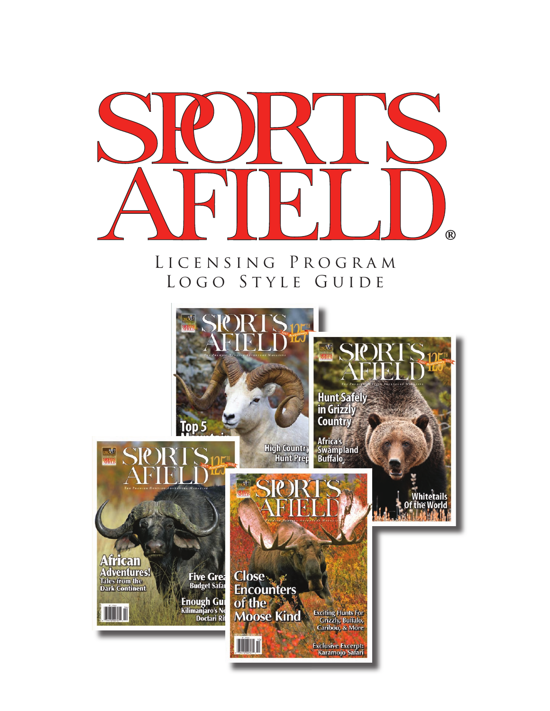

### LICENSING PROGRAM LOGO STYLE GUIDE

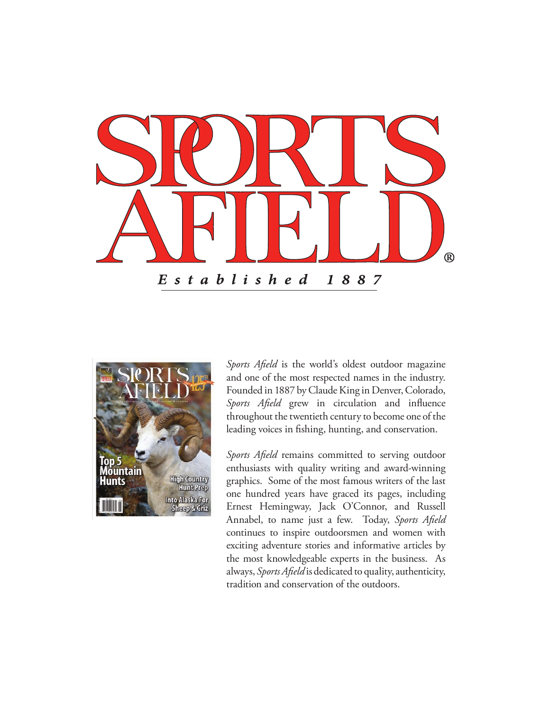



*Sports Afield* is the world's oldest outdoor magazine and one of the most respected names in the industry. Founded in 1887 by Claude King in Denver, Colorado, *Sports Afield* grew in circulation and influence throughout the twentieth century to become one of the leading voices in fishing, hunting, and conservation.

*Sports Afield* remains committed to serving outdoor enthusiasts with quality writing and award-winning graphics. Some of the most famous writers of the last one hundred years have graced its pages, including Ernest Hemingway, Jack O'Connor, and Russell Annabel, to name just a few. Today, *Sports Afield* continues to inspire outdoorsmen and women with exciting adventure stories and informative articles by the most knowledgeable experts in the business. As always, *Sports Afield* is dedicated to quality, authenticity, tradition and conservation of the outdoors.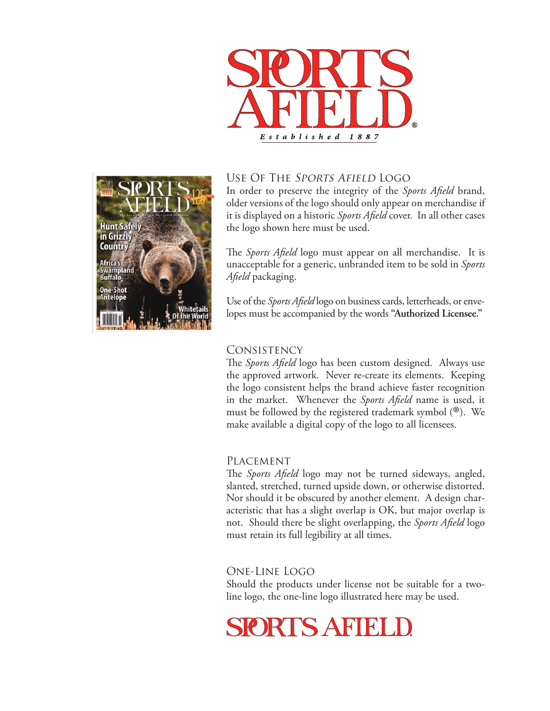



#### Use Of The Sports Afield Logo

In order to preserve the integrity of the *Sports Afield* brand, older versions of the logo should only appear on merchandise if it is displayed on a historic *Sports Afield* cover. In all other cases the logo shown here must be used.

The *Sports Afield* logo must appear on all merchandise. It is unacceptable for a generic, unbranded item to be sold in *Sports Afield* packaging.

Use of the *Sports Afield* logo on business cards, letterheads, or envelopes must be accompanied by the words **"Authorized Licensee."**

#### **CONSISTENCY**

The *Sports Afield* logo has been custom designed. Always use the approved artwork. Never re-create its elements. Keeping the logo consistent helps the brand achieve faster recognition in the market. Whenever the *Sports Afield* name is used, it must be followed by the registered trademark symbol (®). We make available a digital copy of the logo to all licensees.

#### Placement

The *Sports Afield* logo may not be turned sideways, angled, slanted, stretched, turned upside down, or otherwise distorted. Nor should it be obscured by another element. A design characteristic that has a slight overlap is OK, but major overlap is not. Should there be slight overlapping, the *Sports Afield* logo must retain its full legibility at all times.

#### One-Line Logo

Should the products under license not be suitable for a twoline logo, the one-line logo illustrated here may be used.

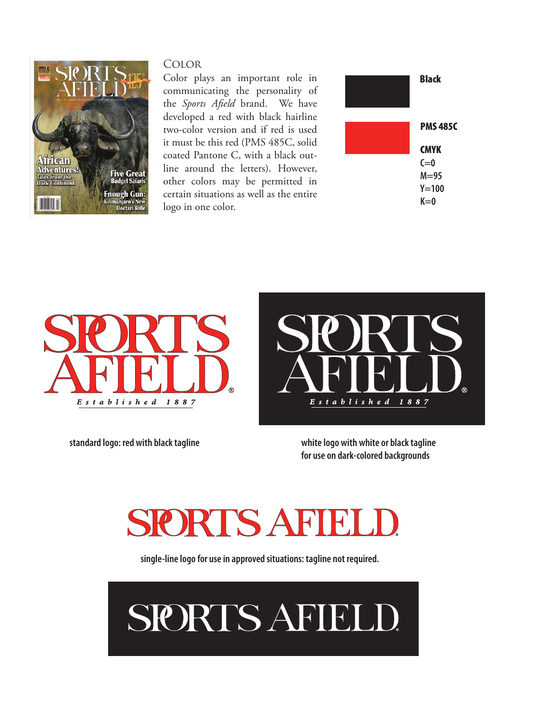

#### Color

Color plays an important role in communicating the personality of the *Sports Afield* brand. We have developed a red with black hairline two-color version and if red is used it must be this red (PMS 485C, solid coated Pantone C, with a black outline around the letters). However, other colors may be permitted in certain situations as well as the entire logo in one color.







**standard logo: red with black tagline white logo with white or black tagline for use on dark-colored backgrounds**

## SIORTS AFIE

**single-line logo for use in approved situations: tagline not required.**

# SPORTS AFIELD.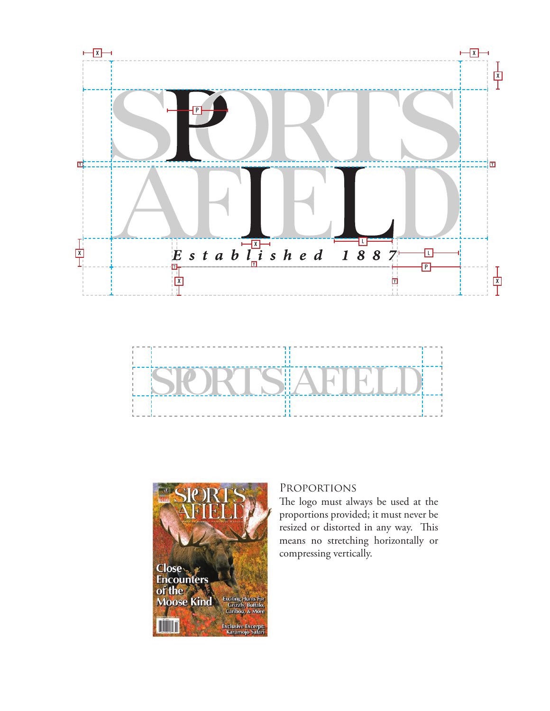





#### Proportions

The logo must always be used at the proportions provided; it must never be resized or distorted in any way. This means no stretching horizontally or compressing vertically.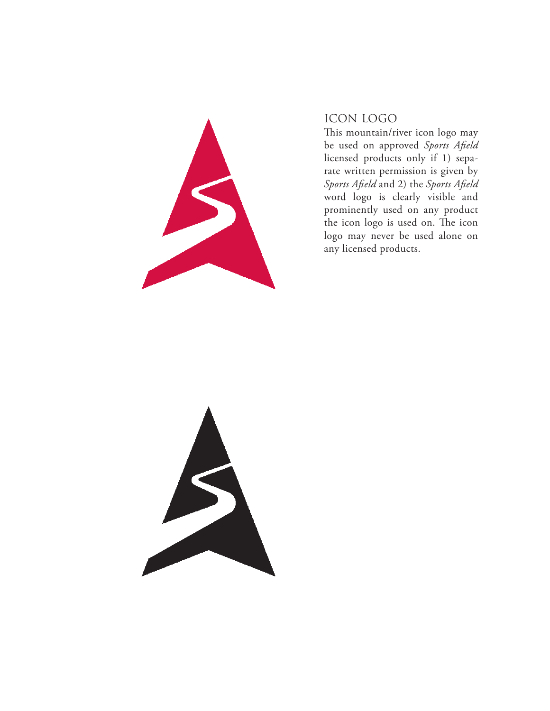

#### ICON LOGO

This mountain/river icon logo may be used on approved *Sports Afield*  licensed products only if 1) separate written permission is given by *Sports Afield* and 2) the *Sports Afield*  word logo is clearly visible and prominently used on any product the icon logo is used on. The icon logo may never be used alone on any licensed products.